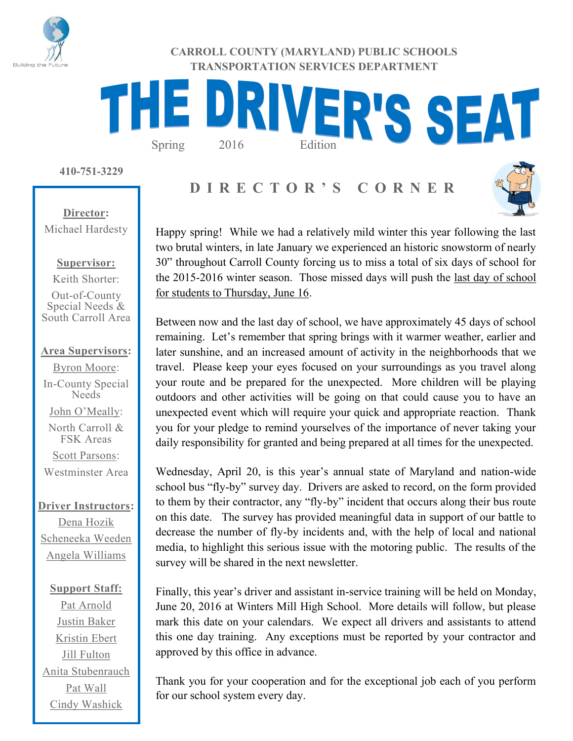

**CARROLL COUNTY (MARYLAND) PUBLIC SCHOOLS TRANSPORTATION SERVICES DEPARTMENT**

# THE DRIVER'S SEAT

**410-751-3229**

# **D I R E C T O R ' S C O R N E R**



**Director:** Michael Hardesty

## **Supervisor:**

Keith Shorter:

Out-of-County Special Needs & South Carroll Area

## **Area Supervisors:**

Byron Moore: In-County Special Needs John O'Meally: North Carroll & FSK Areas Scott Parsons:

Westminster Area

## **Driver Instructors:**

Dena Hozik Scheneeka Weeden Angela Williams

**Support Staff:** Pat Arnold Justin Baker Kristin Ebert Jill Fulton Anita Stubenrauch Pat Wall Cindy Washick

Happy spring! While we had a relatively mild winter this year following the last two brutal winters, in late January we experienced an historic snowstorm of nearly 30" throughout Carroll County forcing us to miss a total of six days of school for the 2015-2016 winter season. Those missed days will push the last day of school for students to Thursday, June 16.

Between now and the last day of school, we have approximately 45 days of school remaining. Let's remember that spring brings with it warmer weather, earlier and later sunshine, and an increased amount of activity in the neighborhoods that we travel. Please keep your eyes focused on your surroundings as you travel along your route and be prepared for the unexpected. More children will be playing outdoors and other activities will be going on that could cause you to have an unexpected event which will require your quick and appropriate reaction. Thank you for your pledge to remind yourselves of the importance of never taking your daily responsibility for granted and being prepared at all times for the unexpected.

Wednesday, April 20, is this year's annual state of Maryland and nation-wide school bus "fly-by" survey day. Drivers are asked to record, on the form provided to them by their contractor, any "fly-by" incident that occurs along their bus route on this date. The survey has provided meaningful data in support of our battle to decrease the number of fly-by incidents and, with the help of local and national media, to highlight this serious issue with the motoring public. The results of the survey will be shared in the next newsletter.

Finally, this year's driver and assistant in-service training will be held on Monday, June 20, 2016 at Winters Mill High School. More details will follow, but please mark this date on your calendars. We expect all drivers and assistants to attend this one day training. Any exceptions must be reported by your contractor and approved by this office in advance.

Thank you for your cooperation and for the exceptional job each of you perform for our school system every day.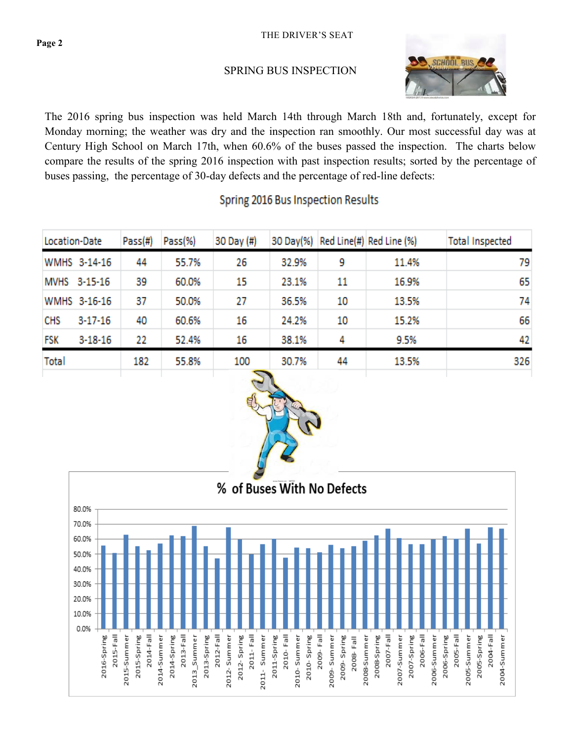**CHS** 

**FSK** 

Total

 $3 - 17 - 16$ 

 $3 - 18 - 16$ 

40

22

182

60.6%

52.4%

55.8%

## SPRING BUS INSPECTION



15.2%

9.5%

13.5%

79

65

74

66

42

326

The 2016 spring bus inspection was held March 14th through March 18th and, fortunately, except for Monday morning; the weather was dry and the inspection ran smoothly. Our most successful day was at Century High School on March 17th, when 60.6% of the buses passed the inspection. The charts below compare the results of the spring 2016 inspection with past inspection results; sorted by the percentage of buses passing, the percentage of 30-day defects and the percentage of red-line defects:

| Location-Date | Pass(#) | Pass(%) | 30 Day (#) |       |    | 30 Day(%) Red Line(#) Red Line (%) | <b>Total Inspected</b> |
|---------------|---------|---------|------------|-------|----|------------------------------------|------------------------|
| WMHS 3-14-16  | 44      | 55.7%   | 26         | 32.9% | 9  | 11.4%                              |                        |
| MVHS 3-15-16  | 39      | 60.0%   | 15         | 23.1% | 11 | 16.9%                              |                        |
| WMHS 3-16-16  | 37      | 50.0%   | 27         | 36.5% | 10 | 13.5%                              |                        |

16

16

100

## Spring 2016 Bus Inspection Results

24.2%

38.1%

30.7%

10

4

44



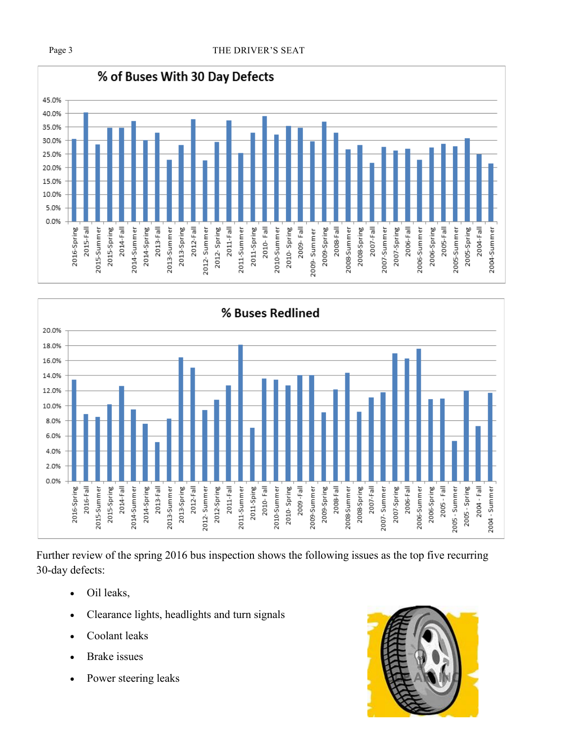



Further review of the spring 2016 bus inspection shows the following issues as the top five recurring 30-day defects:

- Oil leaks,
- Clearance lights, headlights and turn signals
- Coolant leaks
- Brake issues
- Power steering leaks

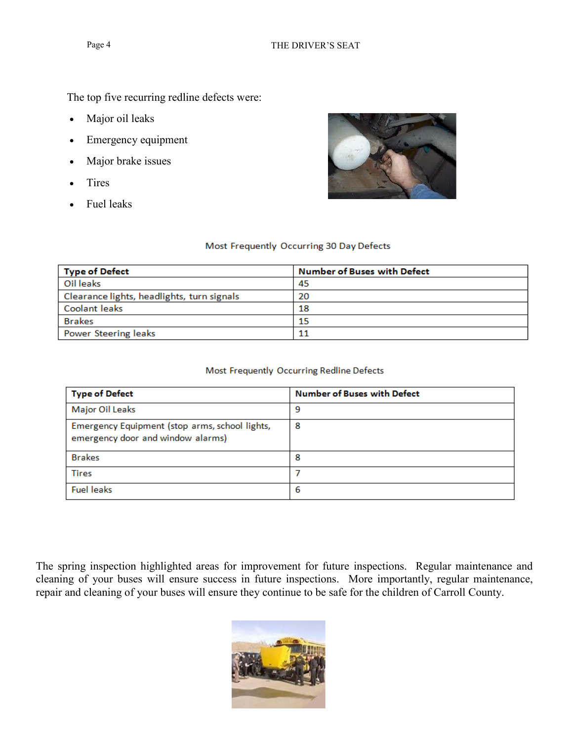The top five recurring redline defects were:

- Major oil leaks
- Emergency equipment
- Major brake issues
- Tires
- Fuel leaks



## Most Frequently Occurring 30 Day Defects

| <b>Type of Defect</b>                      | <b>Number of Buses with Defect</b> |  |  |  |
|--------------------------------------------|------------------------------------|--|--|--|
| Oil leaks                                  | -45                                |  |  |  |
| Clearance lights, headlights, turn signals | 20                                 |  |  |  |
| Coolant leaks                              | 18                                 |  |  |  |
| <b>Brakes</b>                              | 15                                 |  |  |  |
| Power Steering leaks                       |                                    |  |  |  |

## Most Frequently Occurring Redline Defects

| <b>Type of Defect</b>                                                               | <b>Number of Buses with Defect</b> |
|-------------------------------------------------------------------------------------|------------------------------------|
| Major Oil Leaks                                                                     | 9                                  |
| Emergency Equipment (stop arms, school lights,<br>emergency door and window alarms) | 8                                  |
| <b>Brakes</b>                                                                       | 8                                  |
| <b>Tires</b>                                                                        |                                    |
| <b>Fuel leaks</b>                                                                   | 6                                  |

The spring inspection highlighted areas for improvement for future inspections. Regular maintenance and cleaning of your buses will ensure success in future inspections. More importantly, regular maintenance, repair and cleaning of your buses will ensure they continue to be safe for the children of Carroll County.

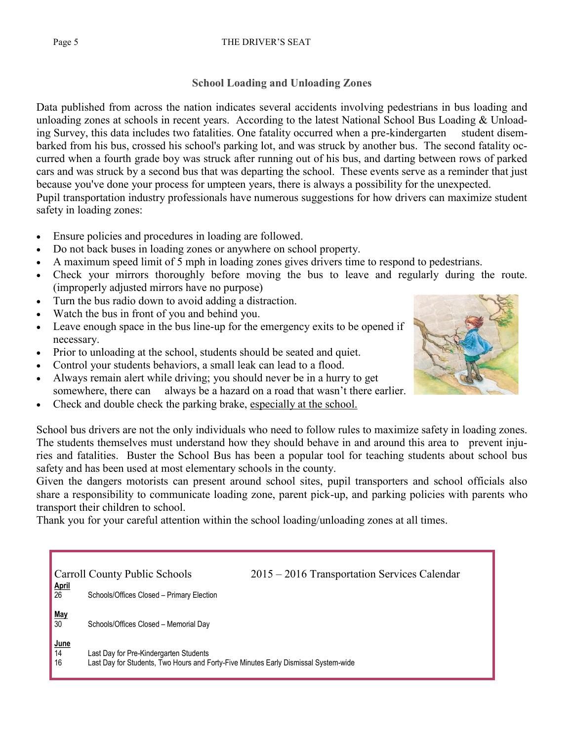## Page 5 THE DRIVER'S SEAT

## **School Loading and Unloading Zones**

Data published from across the nation indicates several accidents involving pedestrians in bus loading and unloading zones at schools in recent years. According to the latest National School Bus Loading & Unloading Survey, this data includes two fatalities. One fatality occurred when a pre-kindergarten student disembarked from his bus, crossed his school's parking lot, and was struck by another bus. The second fatality occurred when a fourth grade boy was struck after running out of his bus, and darting between rows of parked cars and was struck by a second bus that was departing the school. These events serve as a reminder that just because you've done your process for umpteen years, there is always a possibility for the unexpected. Pupil transportation industry professionals have numerous suggestions for how drivers can maximize student safety in loading zones:

- Ensure policies and procedures in loading are followed.
- Do not back buses in loading zones or anywhere on school property.
- A maximum speed limit of 5 mph in loading zones gives drivers time to respond to pedestrians.
- Check your mirrors thoroughly before moving the bus to leave and regularly during the route. (improperly adjusted mirrors have no purpose)
- Turn the bus radio down to avoid adding a distraction.
- Watch the bus in front of you and behind you.
- Leave enough space in the bus line-up for the emergency exits to be opened if necessary.
- Prior to unloading at the school, students should be seated and quiet.
- Control your students behaviors, a small leak can lead to a flood.
- Always remain alert while driving; you should never be in a hurry to get somewhere, there can always be a hazard on a road that wasn't there earlier.
- Check and double check the parking brake, especially at the school.

School bus drivers are not the only individuals who need to follow rules to maximize safety in loading zones. The students themselves must understand how they should behave in and around this area to prevent injuries and fatalities. Buster the School Bus has been a popular tool for teaching students about school bus safety and has been used at most elementary schools in the county.

Given the dangers motorists can present around school sites, pupil transporters and school officials also share a responsibility to communicate loading zone, parent pick-up, and parking policies with parents who transport their children to school.

Thank you for your careful attention within the school loading/unloading zones at all times.

|                              | Carroll County Public Schools                                                                                                 | 2015 – 2016 Transportation Services Calendar |  |  |  |  |
|------------------------------|-------------------------------------------------------------------------------------------------------------------------------|----------------------------------------------|--|--|--|--|
| April<br>26                  | Schools/Offices Closed - Primary Election                                                                                     |                                              |  |  |  |  |
| $\frac{\text{May}}{30}$      | Schools/Offices Closed - Memorial Day                                                                                         |                                              |  |  |  |  |
| $rac{\text{June}}{14}$<br>16 | Last Day for Pre-Kindergarten Students<br>Last Day for Students, Two Hours and Forty-Five Minutes Early Dismissal System-wide |                                              |  |  |  |  |

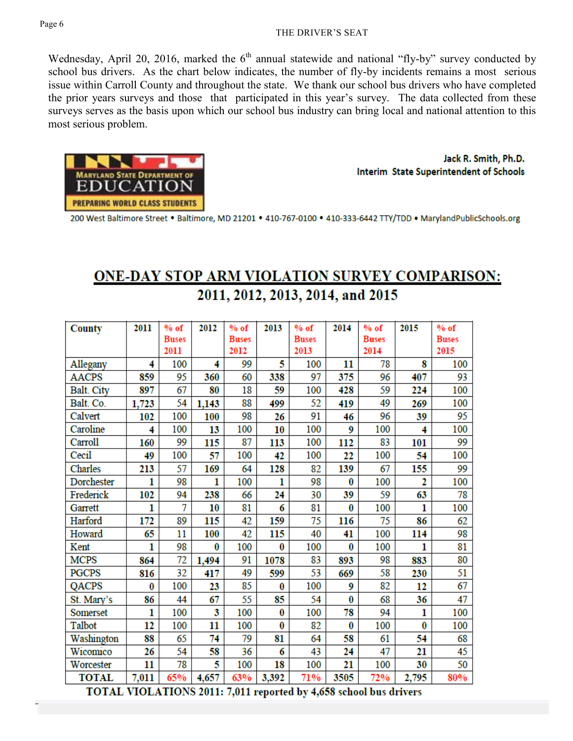### THE DRIVER'S SEAT

Wednesday, April 20, 2016, marked the  $6<sup>th</sup>$  annual statewide and national "fly-by" survey conducted by school bus drivers. As the chart below indicates, the number of fly-by incidents remains a most serious issue within Carroll County and throughout the state. We thank our school bus drivers who have completed the prior years surveys and those that participated in this year's survey. The data collected from these surveys serves as the basis upon which our school bus industry can bring local and national attention to this most serious problem.



Jack R. Smith, Ph.D. Interim State Superintendent of Schools

200 West Baltimore Street . Baltimore, MD 21201 . 410-767-0100 . 410-333-6442 TTY/TDD . MarylandPublicSchools.org

# **ONE-DAY STOP ARM VIOLATION SURVEY COMPARISON:** 2011, 2012, 2013, 2014, and 2015

| <b>County</b>     | 2011         | $%$ of       | 2012  | $%$ of       | 2013     | $%$ of       | 2014     | $%$ of       | 2015           | $%$ of       |
|-------------------|--------------|--------------|-------|--------------|----------|--------------|----------|--------------|----------------|--------------|
|                   |              | <b>Buses</b> |       | <b>Buses</b> |          | <b>Buses</b> |          | <b>Buses</b> |                | <b>Buses</b> |
|                   |              | 2011         |       | 2012         |          | 2013         |          | 2014         |                | 2015         |
| Allegany          | 4            | 100          | 4     | 99           | 5        | 100          | 11       | 78           | 8              | 100          |
| <b>AACPS</b>      | 859          | 95           | 360   | 60           | 338      | 97           | 375      | 96           | 407            | 93           |
| <b>Balt.</b> City | 897          | 67           | 80    | 18           | 59       | 100          | 428      | 59           | 224            | 100          |
| Balt. Co.         | 1,723        | 54           | 1,143 | 88           | 499      | 52           | 419      | 49           | 269            | 100          |
| Calvert           | 102          | 100          | 100   | 98           | 26       | 91           | 46       | 96           | 39             | 95           |
| Caroline          | 4            | 100          | 13    | 100          | 10       | 100          | 9        | 100          | 4              | 100          |
| Carroll           | 160          | 99           | 115   | 87           | 113      | 100          | 112      | 83           | 101            | 99           |
| Cecil             | 49           | 100          | 57    | 100          | 42       | 100          | 22       | 100          | 54             | 100          |
| <b>Charles</b>    | 213          | 57           | 169   | 64           | 128      | 82           | 139      | 67           | 155            | 99           |
| Dorchester        | 1            | 98           | 1     | 100          | 1        | 98           | $\bf{0}$ | 100          | $\overline{2}$ | 100          |
| Frederick         | 102          | 94           | 238   | 66           | 24       | 30           | 39       | 59           | 63             | 78           |
| Garrett           | 1            | 7            | 10    | 81           | 6        | 81           | 0        | 100          | 1              | 100          |
| Harford           | 172          | 89           | 115   | 42           | 159      | 75           | 116      | 75           | 86             | 62           |
| Howard            | 65           | 11           | 100   | 42           | 115      | 40           | 41       | 100          | 114            | 98           |
| Kent              | $\mathbf{1}$ | 98           | 0     | 100          | 0        | 100          | $\bf{0}$ | 100          | 1              | 81           |
| <b>MCPS</b>       | 864          | 72           | 1,494 | 91           | 1078     | 83           | 893      | 98           | 883            | 80           |
| <b>PGCPS</b>      | 816          | 32           | 417   | 49           | 599      | 53           | 669      | 58           | 230            | 51           |
| QACPS             | 0            | 100          | 23    | 85           | 0        | 100          | 9        | 82           | 12             | 67           |
| St. Mary's        | 86           | 44           | 67    | 55           | 85       | 54           | 0        | 68           | 36             | 47           |
| Somerset          | 1            | 100          | 3     | 100          | 0        | 100          | 78       | 94           | 1              | 100          |
| Talbot            | 12           | 100          | 11    | 100          | $\bf{0}$ | 82           | 0        | 100          | $\bf{0}$       | 100          |
| Washington        | 88           | 65           | 74    | 79           | 81       | 64           | 58       | 61           | 54             | 68           |
| Wicomico          | 26           | 54           | 58    | 36           | 6        | 43           | 24       | 47           | 21             | 45           |
| Worcester         | 11           | 78           | 5     | 100          | 18       | 100          | 21       | 100          | 30             | 50           |
| <b>TOTAL</b>      | 7,011        | 65%          | 4,657 | 63%          | 3,392    | 71%          | 3505     | 72%          | 2,795          | 80%          |

TOTAL VIOLATIONS 2011: 7,011 reported by 4,658 school bus drivers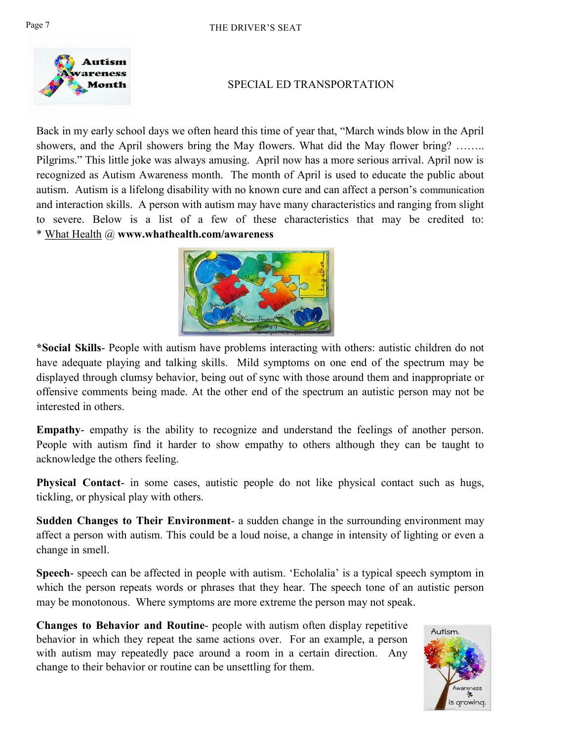

## SPECIAL ED TRANSPORTATION

Back in my early school days we often heard this time of year that, "March winds blow in the April showers, and the April showers bring the May flowers. What did the May flower bring? …….. Pilgrims." This little joke was always amusing. April now has a more serious arrival. April now is recognized as Autism Awareness month. The month of April is used to educate the public about autism. Autism is a lifelong disability with no known cure and can affect a person's communication and interaction skills. A person with autism may have many characteristics and ranging from slight to severe. Below is a list of a few of these characteristics that may be credited to: \* What Health @ **www.whathealth.com/awareness** 



**\*Social Skills**- People with autism have problems interacting with others: autistic children do not have adequate playing and talking skills. Mild symptoms on one end of the spectrum may be displayed through clumsy behavior, being out of sync with those around them and inappropriate or offensive comments being made. At the other end of the spectrum an autistic person may not be interested in others.

**Empathy**- empathy is the ability to recognize and understand the feelings of another person. People with autism find it harder to show empathy to others although they can be taught to acknowledge the others feeling.

**Physical Contact**- in some cases, autistic people do not like physical contact such as hugs, tickling, or physical play with others.

**Sudden Changes to Their Environment**- a sudden change in the surrounding environment may affect a person with autism. This could be a loud noise, a change in intensity of lighting or even a change in smell.

**Speech**- speech can be affected in people with autism. 'Echolalia' is a typical speech symptom in which the person repeats words or phrases that they hear. The speech tone of an autistic person may be monotonous. Where symptoms are more extreme the person may not speak.

**Changes to Behavior and Routine**- people with autism often display repetitive behavior in which they repeat the same actions over. For an example, a person with autism may repeatedly pace around a room in a certain direction. Any change to their behavior or routine can be unsettling for them.

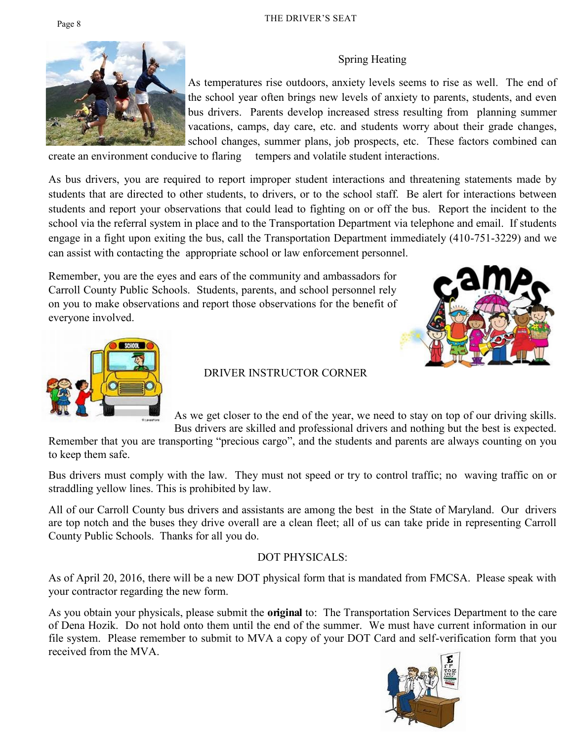## Spring Heating



As temperatures rise outdoors, anxiety levels seems to rise as well. The end of the school year often brings new levels of anxiety to parents, students, and even bus drivers. Parents develop increased stress resulting from planning summer vacations, camps, day care, etc. and students worry about their grade changes, school changes, summer plans, job prospects, etc. These factors combined can

create an environment conducive to flaring tempers and volatile student interactions.

As bus drivers, you are required to report improper student interactions and threatening statements made by students that are directed to other students, to drivers, or to the school staff. Be alert for interactions between students and report your observations that could lead to fighting on or off the bus. Report the incident to the school via the referral system in place and to the Transportation Department via telephone and email. If students engage in a fight upon exiting the bus, call the Transportation Department immediately (410-751-3229) and we can assist with contacting the appropriate school or law enforcement personnel.

Remember, you are the eyes and ears of the community and ambassadors for Carroll County Public Schools. Students, parents, and school personnel rely on you to make observations and report those observations for the benefit of everyone involved.





## DRIVER INSTRUCTOR CORNER

As we get closer to the end of the year, we need to stay on top of our driving skills. Bus drivers are skilled and professional drivers and nothing but the best is expected.

Remember that you are transporting "precious cargo", and the students and parents are always counting on you to keep them safe.

Bus drivers must comply with the law. They must not speed or try to control traffic; no waving traffic on or straddling yellow lines. This is prohibited by law.

All of our Carroll County bus drivers and assistants are among the best in the State of Maryland. Our drivers are top notch and the buses they drive overall are a clean fleet; all of us can take pride in representing Carroll County Public Schools. Thanks for all you do.

## DOT PHYSICALS:

As of April 20, 2016, there will be a new DOT physical form that is mandated from FMCSA. Please speak with your contractor regarding the new form.

As you obtain your physicals, please submit the **original** to: The Transportation Services Department to the care of Dena Hozik. Do not hold onto them until the end of the summer. We must have current information in our file system. Please remember to submit to MVA a copy of your DOT Card and self-verification form that you received from the MVA.